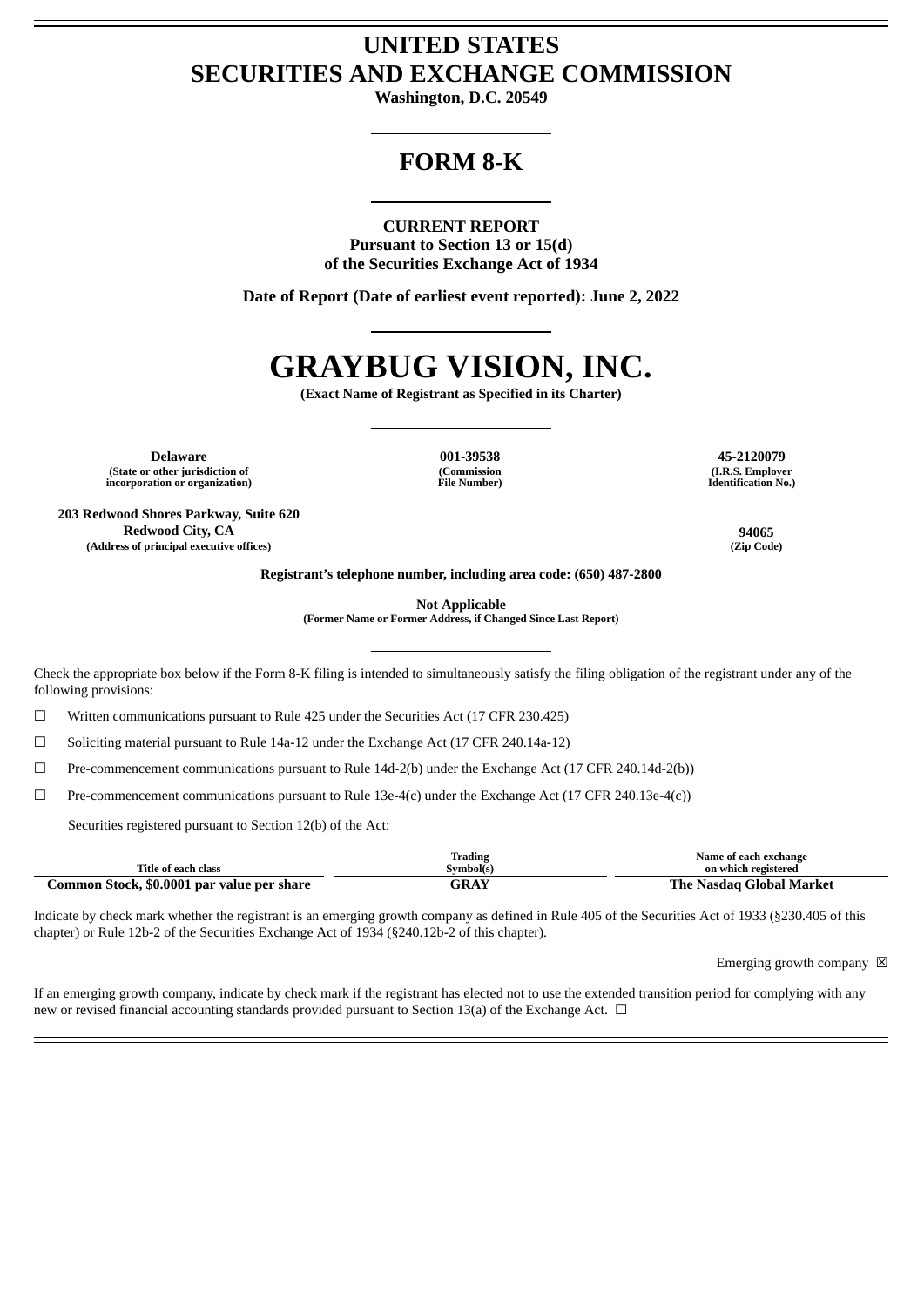## **UNITED STATES SECURITIES AND EXCHANGE COMMISSION**

**Washington, D.C. 20549**

## **FORM 8-K**

### **CURRENT REPORT**

**Pursuant to Section 13 or 15(d) of the Securities Exchange Act of 1934**

**Date of Report (Date of earliest event reported): June 2, 2022**

# **GRAYBUG VISION, INC.**

**(Exact Name of Registrant as Specified in its Charter)**

**Delaware 001-39538 45-2120079 (State or other jurisdiction of incorporation or organization)**

**203 Redwood Shores Parkway, Suite 620 Redwood City, CA 94065 (Address of principal executive offices) (Zip Code)**

**(Commission File Number)**

**(I.R.S. Employer Identification No.)**

**Registrant's telephone number, including area code: (650) 487-2800**

**Not Applicable**

**(Former Name or Former Address, if Changed Since Last Report)**

Check the appropriate box below if the Form 8-K filing is intended to simultaneously satisfy the filing obligation of the registrant under any of the following provisions:

☐ Written communications pursuant to Rule 425 under the Securities Act (17 CFR 230.425)

☐ Soliciting material pursuant to Rule 14a-12 under the Exchange Act (17 CFR 240.14a-12)

☐ Pre-commencement communications pursuant to Rule 14d-2(b) under the Exchange Act (17 CFR 240.14d-2(b))

 $\Box$  Pre-commencement communications pursuant to Rule 13e-4(c) under the Exchange Act (17 CFR 240.13e-4(c))

Securities registered pursuant to Section 12(b) of the Act:

|                                            | <b>Trading</b> | Name of each exchange    |
|--------------------------------------------|----------------|--------------------------|
| Title of each class                        | Symbol(s)      | on which registered      |
| Common Stock, \$0.0001 par value per share | GRAY           | The Nasdag Global Market |

Indicate by check mark whether the registrant is an emerging growth company as defined in Rule 405 of the Securities Act of 1933 (§230.405 of this chapter) or Rule 12b-2 of the Securities Exchange Act of 1934 (§240.12b-2 of this chapter).

Emerging growth company  $\boxtimes$ 

If an emerging growth company, indicate by check mark if the registrant has elected not to use the extended transition period for complying with any new or revised financial accounting standards provided pursuant to Section 13(a) of the Exchange Act.  $\Box$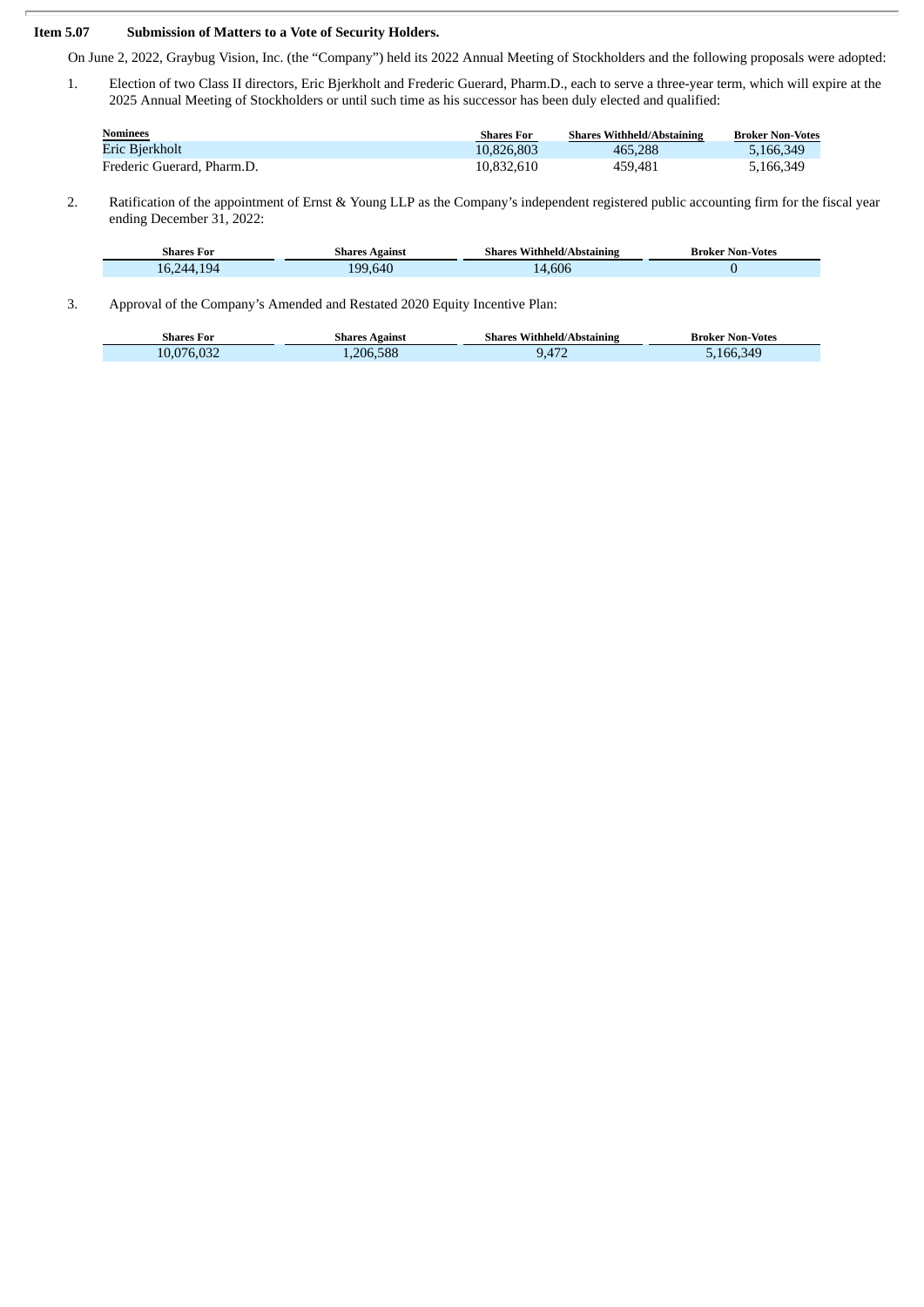#### **Item 5.07 Submission of Matters to a Vote of Security Holders.**

Т

On June 2, 2022, Graybug Vision, Inc. (the "Company") held its 2022 Annual Meeting of Stockholders and the following proposals were adopted:

1. Election of two Class II directors, Eric Bjerkholt and Frederic Guerard, Pharm.D., each to serve a three-year term, which will expire at the 2025 Annual Meeting of Stockholders or until such time as his successor has been duly elected and qualified:

| <b>Nominees</b>            | <b>Shares For</b> | <b>Shares Withheld/Abstaining</b> | <b>Broker Non-Votes</b> |
|----------------------------|-------------------|-----------------------------------|-------------------------|
| Eric Bjerkholt             | 10.826.803        | 465,288                           | 5,166,349               |
| Frederic Guerard, Pharm.D. | 10,832,610        | 459.481                           | 5,166,349               |

2. Ratification of the appointment of Ernst & Young LLP as the Company's independent registered public accounting firm for the fiscal year ending December 31, 2022:

| <b>Shares For</b> | Shares Against | <b>Shares Withheld/Abstaining</b> | <b>Broker Non-Votes</b> |
|-------------------|----------------|-----------------------------------|-------------------------|
| 16,244,194        | 199.640        | 14.606                            |                         |

3. Approval of the Company's Amended and Restated 2020 Equity Incentive Plan:

| Shares For                         | <b>Shares Against</b> | $\sim$<br>s Withheld/Abstaining<br>Shares | Broker Non-Votes |
|------------------------------------|-----------------------|-------------------------------------------|------------------|
| $\sim$ $\sim$ $\sim$<br>10,076,032 | 206.588               | 417                                       | 5.166.349        |